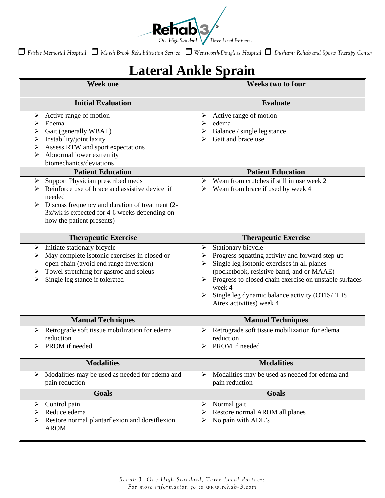

*Frisbie Memorial Hospital Marsh Brook Rehabilitation Service Wentworth-Douglass Hospital Durham: Rehab and Sports Therapy Center*

## **Lateral Ankle Sprain**

| <b>Week one</b>                                                                                                                                                                                                                           | <b>Weeks two to four</b>                                                                                                                                                                                                                                                                                                                 |
|-------------------------------------------------------------------------------------------------------------------------------------------------------------------------------------------------------------------------------------------|------------------------------------------------------------------------------------------------------------------------------------------------------------------------------------------------------------------------------------------------------------------------------------------------------------------------------------------|
| <b>Initial Evaluation</b>                                                                                                                                                                                                                 | <b>Evaluate</b>                                                                                                                                                                                                                                                                                                                          |
| Active range of motion<br>➤<br>Edema<br>➤<br>Gait (generally WBAT)<br>≻<br>Instability/joint laxity<br>➤<br>Assess RTW and sport expectations<br>➤<br>Abnormal lower extremity<br>biomechanics/deviations                                 | Active range of motion<br>edema<br>➤<br>Balance / single leg stance<br>➤<br>Gait and brace use                                                                                                                                                                                                                                           |
| <b>Patient Education</b>                                                                                                                                                                                                                  | <b>Patient Education</b>                                                                                                                                                                                                                                                                                                                 |
| Support Physician prescribed meds<br>➤<br>Reinforce use of brace and assistive device if<br>⋗<br>needed<br>Discuss frequency and duration of treatment (2-<br>$3x/wk$ is expected for 4-6 weeks depending on<br>how the patient presents) | Wean from crutches if still in use week 2<br>➤<br>Wean from brace if used by week 4<br>➤                                                                                                                                                                                                                                                 |
| <b>Therapeutic Exercise</b>                                                                                                                                                                                                               | <b>Therapeutic Exercise</b>                                                                                                                                                                                                                                                                                                              |
| Initiate stationary bicycle<br>➤<br>May complete isotonic exercises in closed or<br>⋗<br>open chain (avoid end range inversion)<br>Towel stretching for gastroc and soleus<br>➤<br>Single leg stance if tolerated                         | Stationary bicycle<br>➤<br>Progress squatting activity and forward step-up<br>➤<br>Single leg isotonic exercises in all planes<br>(pocketbook, resistive band, and or MAAE)<br>Progress to closed chain exercise on unstable surfaces<br>➤<br>week 4<br>Single leg dynamic balance activity (OTIS/IT IS<br>➤<br>Airex activities) week 4 |
| <b>Manual Techniques</b>                                                                                                                                                                                                                  | <b>Manual Techniques</b>                                                                                                                                                                                                                                                                                                                 |
| Retrograde soft tissue mobilization for edema<br>➤<br>reduction<br>PROM if needed                                                                                                                                                         | Retrograde soft tissue mobilization for edema<br>➤<br>reduction<br>PROM if needed                                                                                                                                                                                                                                                        |
| <b>Modalities</b>                                                                                                                                                                                                                         | <b>Modalities</b>                                                                                                                                                                                                                                                                                                                        |
| Modalities may be used as needed for edema and<br>≻<br>pain reduction                                                                                                                                                                     | Modalities may be used as needed for edema and<br>➤<br>pain reduction                                                                                                                                                                                                                                                                    |
| <b>Goals</b>                                                                                                                                                                                                                              | <b>Goals</b>                                                                                                                                                                                                                                                                                                                             |
| Control pain<br>➤<br>Reduce edema<br>➤<br>Restore normal plantarflexion and dorsiflexion<br>➤<br><b>AROM</b>                                                                                                                              | Normal gait<br>➤<br>Restore normal AROM all planes<br>➤<br>No pain with ADL's<br>➤                                                                                                                                                                                                                                                       |